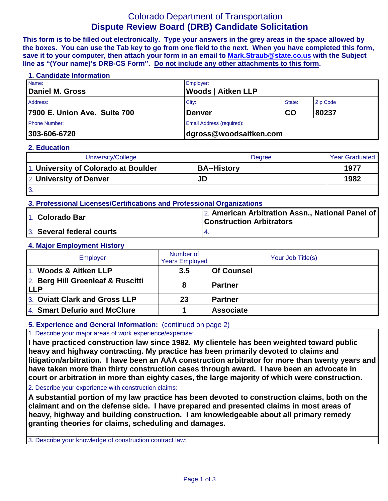# Colorado Department of Transportation **Dispute Review Board (DRB) Candidate Solicitation**

**This form is to be filled out electronically. Type your answers in the grey areas in the space allowed by the boxes. You can use the Tab key to go from one field to the next. When you have completed this form, save it to your computer, then attach your form in an email to [Mark.Straub@state.co.us](mailto:Mark.Straub@state.co.us?subject=Dispute%20Review%20Board%20(DRB)%20Candidate%20Solicitation) with the Subject line as "(Your name)'s DRB-CS Form". Do not include any other attachments to this form.**

#### **1. Candidate Information**

| Name:                        | Employer:                 |           |                 |  |
|------------------------------|---------------------------|-----------|-----------------|--|
| Daniel M. Gross              | <b>Woods   Aitken LLP</b> |           |                 |  |
| Address:                     | City:                     | State:    | <b>Zip Code</b> |  |
| 7900 E. Union Ave. Suite 700 | <b>Denver</b>             | <b>CO</b> | 80237           |  |
| <b>Phone Number:</b>         | Email Address (required): |           |                 |  |
| 303-606-6720                 | dgross@woodsaitken.com    |           |                 |  |

#### **2. Education**

| University/College                   | Degree             | <b>Year Graduated</b> |
|--------------------------------------|--------------------|-----------------------|
| 1. University of Colorado at Boulder | <b>BA--History</b> | 1977                  |
| 2. University of Denver              | JD                 | 1982                  |
| 3.                                   |                    |                       |

## **3. Professional Licenses/Certifications and Professional Organizations**

| 1. Colorado Bar           | 2. American Arbitration Assn., National Panel of<br><b>Construction Arbitrators</b> |  |
|---------------------------|-------------------------------------------------------------------------------------|--|
| 3. Several federal courts |                                                                                     |  |

## **4. Major Employment History**

| Employer                                        | Number of<br><b>Years Employed</b> | Your Job Title(s) |
|-------------------------------------------------|------------------------------------|-------------------|
| 1. Woods & Aitken LLP                           | 3.5                                | <b>Of Counsel</b> |
| 2. Berg Hill Greenleaf & Ruscitti<br><b>LLP</b> | 8                                  | l Partner         |
| 3. Oviatt Clark and Gross LLP                   | 23                                 | <b>Partner</b>    |
| 4. Smart Defurio and McClure                    |                                    | <b>Associate</b>  |

# **5. Experience and General Information:** (continued on page 2)

## 1. Describe your major areas of work experience/expertise:

**I have practiced construction law since 1982. My clientele has been weighted toward public heavy and highway contracting. My practice has been primarily devoted to claims and litigation/arbitration. I have been an AAA construction arbitrator for more than twenty years and have taken more than thirty construction cases through award. I have been an advocate in court or arbitration in more than eighty cases, the large majority of which were construction.**

**cases.** 2. Describe your experience with construction claims:

**A substantial portion of my law practice has been devoted to construction claims, both on the claimant and on the defense side. I have prepared and presented claims in most areas of heavy, highway and building construction. I am knowledgeable about all primary remedy granting theories for claims, scheduling and damages.**

3. Describe your knowledge of construction contract law: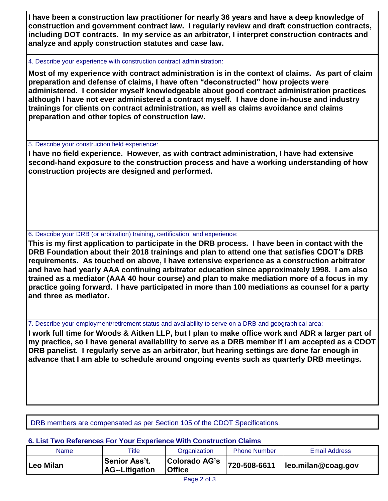**I have been a construction law practitioner for nearly 36 years and have a deep knowledge of construction and government contract law. I regularly review and draft construction contracts, including DOT contracts. In my service as an arbitrator, I interpret construction contracts and analyze and apply construction statutes and case law.**

### 4. Describe your experience with construction contract administration:

**Most of my experience with contract administration is in the context of claims. As part of claim preparation and defense of claims, I have often "deconstructed" how projects were administered. I consider myself knowledgeable about good contract administration practices although I have not ever administered a contract myself. I have done in-house and industry trainings for clients on contract administration, as well as claims avoidance and claims preparation and other topics of construction law.**

# 5. Describe your construction field experience:

**I have no field experience. However, as with contract administration, I have had extensive second-hand exposure to the construction process and have a working understanding of how construction projects are designed and performed.**

# 6. Describe your DRB (or arbitration) training, certification, and experience:

**This is my first application to participate in the DRB process. I have been in contact with the DRB Foundation about their 2018 trainings and plan to attend one that satisfies CDOT's DRB requirements. As touched on above, I have extensive experience as a construction arbitrator and have had yearly AAA continuing arbitrator education since approximately 1998. I am also trained as a mediator (AAA 40 hour course) and plan to make mediation more of a focus in my practice going forward. I have participated in more than 100 mediations as counsel for a party and three as mediator.**

7. Describe your employment/retirement status and availability to serve on a DRB and geographical area:

**I work full time for Woods & Aitken LLP, but I plan to make office work and ADR a larger part of my practice, so I have general availability to serve as a DRB member if I am accepted as a CDOT DRB panelist. I regularly serve as an arbitrator, but hearing settings are done far enough in advance that I am able to schedule around ongoing events such as quarterly DRB meetings.**

DRB members are compensated as per Section 105 of the CDOT Specifications.

# **6. List Two References For Your Experience With Construction Claims**

| Name      | Title                           | Organization                   | <b>Phone Number</b> | Email Address                       |
|-----------|---------------------------------|--------------------------------|---------------------|-------------------------------------|
| Leo Milan | Senior Ass't.<br>AG--Litigation | Colorado AG's<br><b>Office</b> |                     | $ 720-508-6611 $ leo.milan@coag.gov |